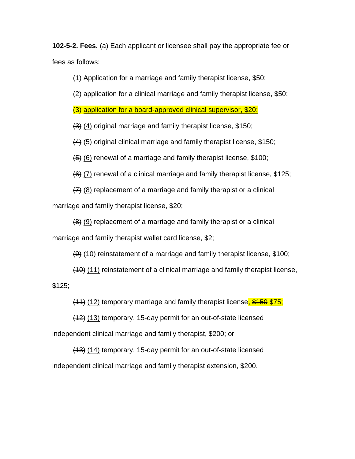**102-5-2. Fees.** (a) Each applicant or licensee shall pay the appropriate fee or fees as follows:

(1) Application for a marriage and family therapist license, \$50;

(2) application for a clinical marriage and family therapist license, \$50;

(3) application for a board-approved clinical supervisor, \$20;

(3) (4) original marriage and family therapist license, \$150;

(4) (5) original clinical marriage and family therapist license, \$150;

(5) (6) renewal of a marriage and family therapist license, \$100;

 $(6)$  (7) renewal of a clinical marriage and family therapist license, \$125;

(7) (8) replacement of a marriage and family therapist or a clinical

marriage and family therapist license, \$20;

(8) (9) replacement of a marriage and family therapist or a clinical

marriage and family therapist wallet card license, \$2;

 $(9)$  (10) reinstatement of a marriage and family therapist license, \$100;

(10) (11) reinstatement of a clinical marriage and family therapist license,  $$125;$ 

 $(11)$  (12) temporary marriage and family therapist license,  $$150$   $$75$ ;

(12) (13) temporary, 15-day permit for an out-of-state licensed independent clinical marriage and family therapist, \$200; or

(13) (14) temporary, 15-day permit for an out-of-state licensed independent clinical marriage and family therapist extension, \$200.